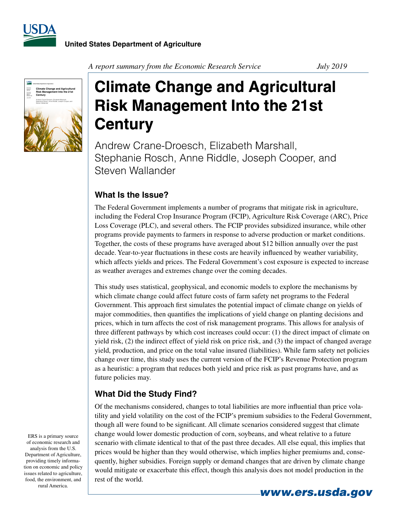



*A report summary from the Economic Research Service July 2019* 

## **Climate Change and Agricultural Risk Management Into the 21st Century**

Andrew Crane-Droesch, Elizabeth Marshall, Stephanie Rosch, Anne Riddle, Joseph Cooper, and Steven Wallander

## **What Is the Issue?**

The Federal Government implements a number of programs that mitigate risk in agriculture, including the Federal Crop Insurance Program (FCIP), Agriculture Risk Coverage (ARC), Price Loss Coverage (PLC), and several others. The FCIP provides subsidized insurance, while other programs provide payments to farmers in response to adverse production or market conditions. Together, the costs of these programs have averaged about \$12 billion annually over the past decade. Year-to-year fluctuations in these costs are heavily influenced by weather variability, which affects yields and prices. The Federal Government's cost exposure is expected to increase as weather averages and extremes change over the coming decades.

This study uses statistical, geophysical, and economic models to explore the mechanisms by which climate change could affect future costs of farm safety net programs to the Federal Government. This approach first simulates the potential impact of climate change on yields of major commodities, then quantifies the implications of yield change on planting decisions and prices, which in turn affects the cost of risk management programs. This allows for analysis of three different pathways by which cost increases could occur: (1) the direct impact of climate on yield risk, (2) the indirect effect of yield risk on price risk, and (3) the impact of changed average yield, production, and price on the total value insured (liabilities). While farm safety net policies change over time, this study uses the current version of the FCIP's Revenue Protection program as a heuristic: a program that reduces both yield and price risk as past programs have, and as future policies may.

## **What Did the Study Find?**

Of the mechanisms considered, changes to total liabilities are more influential than price volatility and yield volatility on the cost of the FCIP's premium subsidies to the Federal Government, though all were found to be significant. All climate scenarios considered suggest that climate change would lower domestic production of corn, soybeans, and wheat relative to a future scenario with climate identical to that of the past three decades. All else equal, this implies that prices would be higher than they would otherwise, which implies higher premiums and, consequently, higher subsidies. Foreign supply or demand changes that are driven by climate change would mitigate or exacerbate this effect, though this analysis does not model production in the rest of the world.

ERS is a primary source of economic research and analysis from the U.S. Department of Agriculture, providing timely information on economic and policy issues related to agriculture, food, the environment, and rural America.